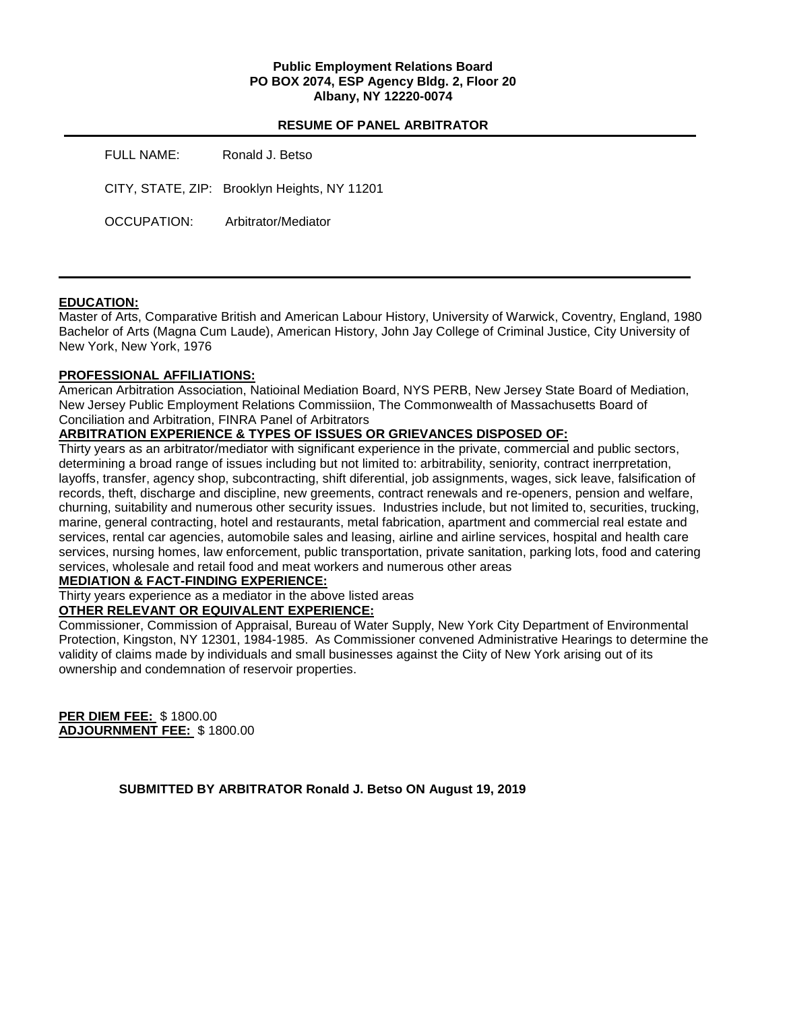## **Public Employment Relations Board PO BOX 2074, ESP Agency Bldg. 2, Floor 20 Albany, NY 12220-0074**

# **RESUME OF PANEL ARBITRATOR**

| FULL NAME:  | Ronald J. Betso                              |
|-------------|----------------------------------------------|
|             | CITY, STATE, ZIP: Brooklyn Heights, NY 11201 |
| OCCUPATION: | Arbitrator/Mediator                          |

# **EDUCATION:**

Master of Arts, Comparative British and American Labour History, University of Warwick, Coventry, England, 1980 Bachelor of Arts (Magna Cum Laude), American History, John Jay College of Criminal Justice, City University of New York, New York, 1976

# **PROFESSIONAL AFFILIATIONS:**

American Arbitration Association, Natioinal Mediation Board, NYS PERB, New Jersey State Board of Mediation, New Jersey Public Employment Relations Commissiion, The Commonwealth of Massachusetts Board of Conciliation and Arbitration, FINRA Panel of Arbitrators

# **ARBITRATION EXPERIENCE & TYPES OF ISSUES OR GRIEVANCES DISPOSED OF:**

Thirty years as an arbitrator/mediator with significant experience in the private, commercial and public sectors, determining a broad range of issues including but not limited to: arbitrability, seniority, contract inerrpretation, layoffs, transfer, agency shop, subcontracting, shift diferential, job assignments, wages, sick leave, falsification of records, theft, discharge and discipline, new greements, contract renewals and re-openers, pension and welfare, churning, suitability and numerous other security issues. Industries include, but not limited to, securities, trucking, marine, general contracting, hotel and restaurants, metal fabrication, apartment and commercial real estate and services, rental car agencies, automobile sales and leasing, airline and airline services, hospital and health care services, nursing homes, law enforcement, public transportation, private sanitation, parking lots, food and catering services, wholesale and retail food and meat workers and numerous other areas

## **MEDIATION & FACT-FINDING EXPERIENCE:**

# Thirty years experience as a mediator in the above listed areas

# **OTHER RELEVANT OR EQUIVALENT EXPERIENCE:**

Commissioner, Commission of Appraisal, Bureau of Water Supply, New York City Department of Environmental Protection, Kingston, NY 12301, 1984-1985. As Commissioner convened Administrative Hearings to determine the validity of claims made by individuals and small businesses against the Ciity of New York arising out of its ownership and condemnation of reservoir properties.

**PER DIEM FEE:** \$ 1800.00 **ADJOURNMENT FEE:** \$ 1800.00

**SUBMITTED BY ARBITRATOR Ronald J. Betso ON August 19, 2019**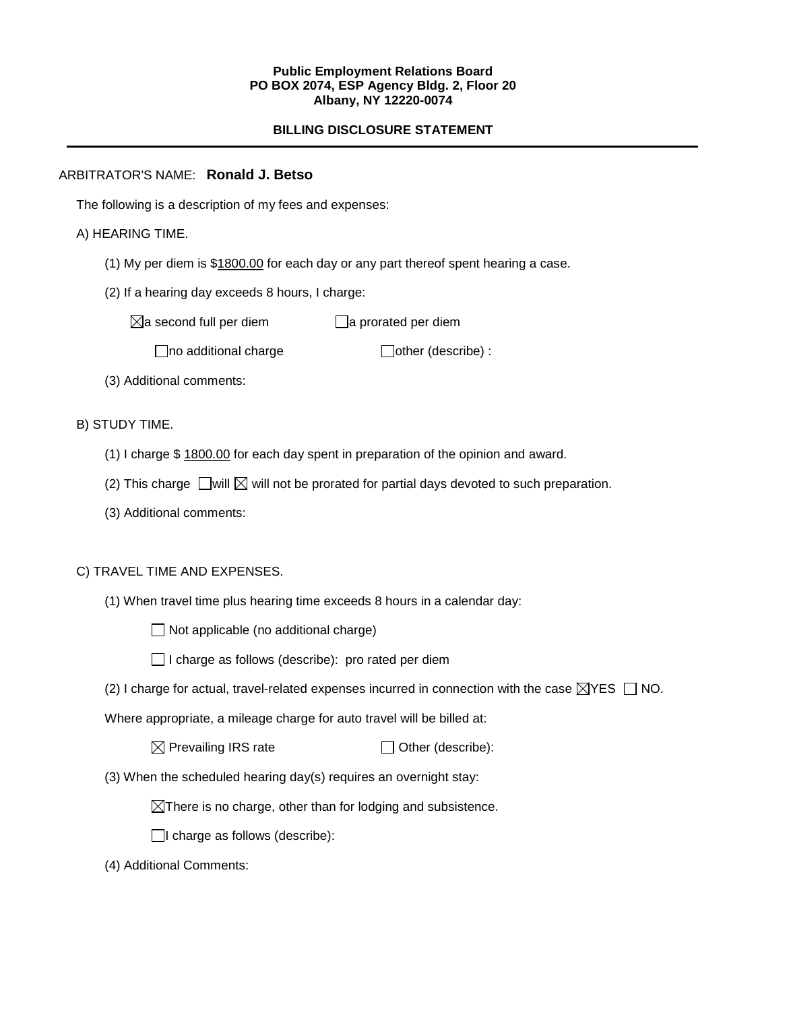#### **Public Employment Relations Board PO BOX 2074, ESP Agency Bldg. 2, Floor 20 Albany, NY 12220-0074**

# **BILLING DISCLOSURE STATEMENT**

# ARBITRATOR'S NAME: **Ronald J. Betso**

The following is a description of my fees and expenses:

# A) HEARING TIME.

- (1) My per diem is \$1800.00 for each day or any part thereof spent hearing a case.
- (2) If a hearing day exceeds 8 hours, I charge:

 $\boxtimes$ a second full per diem  $\Box$ a prorated per diem

 $\Box$ no additional charge  $\Box$ other (describe) :

(3) Additional comments:

B) STUDY TIME.

- (1) I charge \$ 1800.00 for each day spent in preparation of the opinion and award.
- (2) This charge  $\Box$  will  $\boxtimes$  will not be prorated for partial days devoted to such preparation.
- (3) Additional comments:

## C) TRAVEL TIME AND EXPENSES.

(1) When travel time plus hearing time exceeds 8 hours in a calendar day:

 $\Box$  Not applicable (no additional charge)

| □ I charge as follows (describe): pro rated per diem |  |  |
|------------------------------------------------------|--|--|
|------------------------------------------------------|--|--|

(2) I charge for actual, travel-related expenses incurred in connection with the case  $\boxtimes$ YES  $\Box$  NO.

Where appropriate, a mileage charge for auto travel will be billed at:

 $\boxtimes$  Prevailing IRS rate  $\Box$  Other (describe):

(3) When the scheduled hearing day(s) requires an overnight stay:

 $\boxtimes$ There is no charge, other than for lodging and subsistence.

 $\Box$ I charge as follows (describe):

(4) Additional Comments: